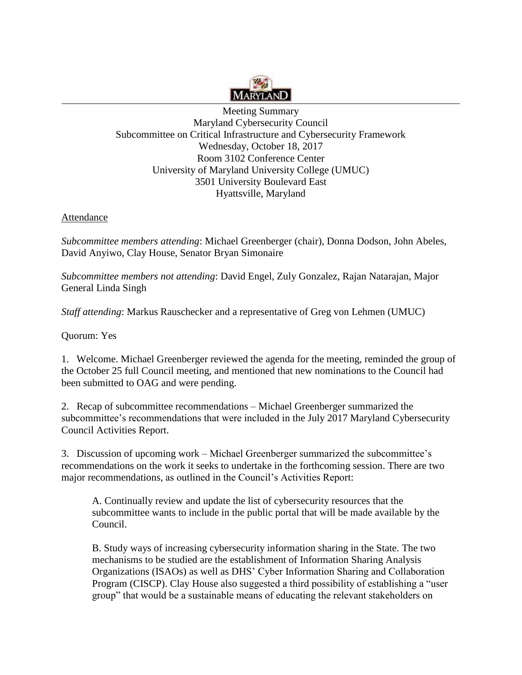

Meeting Summary Maryland Cybersecurity Council Subcommittee on Critical Infrastructure and Cybersecurity Framework Wednesday, October 18, 2017 Room 3102 Conference Center University of Maryland University College (UMUC) 3501 University Boulevard East Hyattsville, Maryland

## Attendance

*Subcommittee members attending*: Michael Greenberger (chair), Donna Dodson, John Abeles, David Anyiwo, Clay House, Senator Bryan Simonaire

*Subcommittee members not attending*: David Engel, Zuly Gonzalez, Rajan Natarajan, Major General Linda Singh

*Staff attending*: Markus Rauschecker and a representative of Greg von Lehmen (UMUC)

Quorum: Yes

1. Welcome. Michael Greenberger reviewed the agenda for the meeting, reminded the group of the October 25 full Council meeting, and mentioned that new nominations to the Council had been submitted to OAG and were pending.

2. Recap of subcommittee recommendations – Michael Greenberger summarized the subcommittee's recommendations that were included in the July 2017 Maryland Cybersecurity Council Activities Report.

3. Discussion of upcoming work – Michael Greenberger summarized the subcommittee's recommendations on the work it seeks to undertake in the forthcoming session. There are two major recommendations, as outlined in the Council's Activities Report:

A. Continually review and update the list of cybersecurity resources that the subcommittee wants to include in the public portal that will be made available by the Council.

B. Study ways of increasing cybersecurity information sharing in the State. The two mechanisms to be studied are the establishment of Information Sharing Analysis Organizations (ISAOs) as well as DHS' Cyber Information Sharing and Collaboration Program (CISCP). Clay House also suggested a third possibility of establishing a "user group" that would be a sustainable means of educating the relevant stakeholders on